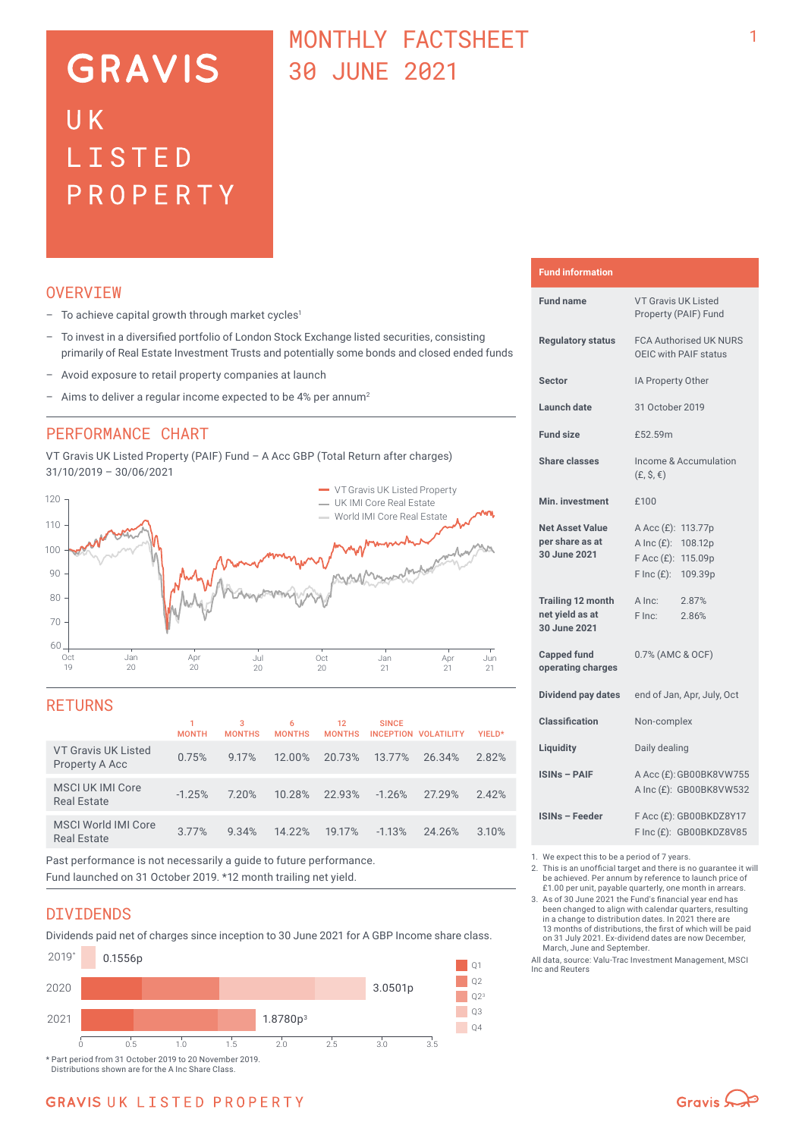# **GRAVIS** UK LISTED PROPERTY

## MONTHLY FACTSHEET 30 JUNE 2021

### **OVERVTEW**

- $-$  To achieve capital growth through market cycles<sup>1</sup>
- To invest in a diversified portfolio of London Stock Exchange listed securities, consisting primarily of Real Estate Investment Trusts and potentially some bonds and closed ended funds
- Avoid exposure to retail property companies at launch
- Aims to deliver a regular income expected to be 4% per annum<sup>2</sup>

### PERFORMANCE CHART

VT Gravis UK Listed Property (PAIF) Fund – A Acc GBP (Total Return after charges) 31/10/2019 – 30/06/2021



## **RETURNS**

|                                           | <b>MONTH</b> | 3<br><b>MONTHS</b> | 6<br><b>MONTHS</b> | 12<br><b>MONTHS</b> | <b>SINCE</b><br><b>INCEPTION</b> | <b>VOLATILITY</b> | <b>YIFI D*</b> |
|-------------------------------------------|--------------|--------------------|--------------------|---------------------|----------------------------------|-------------------|----------------|
| VT Gravis UK Listed<br>Property A Acc     | 0.75%        | 9.17%              | 12.00%             | 20.73%              | 13.77%                           | 26.34%            | 2.82%          |
| MSCI UK IMI Core<br><b>Real Estate</b>    | $-1.25%$     | 7.20%              | 10.28%             | 22.93%              | $-1.26%$                         | 27.29%            | 2.42%          |
| MSCI World IMI Core<br><b>Real Estate</b> | 3.77%        | 9.34%              | 14.22%             | 19.17%              | $-1.13%$                         | 24.26%            | 3.10%          |

Past performance is not necessarily a guide to future performance. Fund launched on 31 October 2019. \*12 month trailing net yield.

### **DIVIDENDS**

Dividends paid net of charges since inception to 30 June 2021 for A GBP Income share class.



Distributions shown are for the A Inc Share Class.

### **Fund information**

| <b>Fund name</b>                                            | <b>VT Gravis UK Listed</b><br>Property (PAIF) Fund                                               |
|-------------------------------------------------------------|--------------------------------------------------------------------------------------------------|
| <b>Regulatory status</b>                                    | <b>FCA Authorised UK NURS</b><br>OEIC with PAIF status                                           |
| <b>Sector</b>                                               | IA Property Other                                                                                |
| Launch date                                                 | 31 October 2019                                                                                  |
| <b>Fund size</b>                                            | £52.59m                                                                                          |
| <b>Share classes</b>                                        | Income & Accumulation<br>$(E, \hat{S}, \epsilon)$                                                |
| Min. investment                                             | £100                                                                                             |
| <b>Net Asset Value</b><br>per share as at<br>30 June 2021   | A Acc (£): 113.77p<br>A Inc (£): 108.12p<br>F Acc (£): 115.09p<br>$F \text{Inc}(f)$ :<br>109.39p |
| <b>Trailing 12 month</b><br>net yield as at<br>30 June 2021 | A Inc:<br>2.87%<br>2.86%<br>F Inc:                                                               |
| <b>Capped fund</b><br>operating charges                     | 0.7% (AMC & OCF)                                                                                 |
| Dividend pay dates                                          | end of Jan, Apr, July, Oct                                                                       |
| Classification                                              | Non-complex                                                                                      |
| Liquidity                                                   | Daily dealing                                                                                    |
| <b>ISINs - PAIF</b>                                         | A Acc (£): GB00BK8VW755<br>A Inc (£): GB00BK8VW532                                               |
| <b>ISINs - Feeder</b>                                       | F Acc (£): GB00BKDZ8Y17<br>F Inc (£): GB00BKDZ8V85                                               |

1. We expect this to be a period of 7 years.

- 2. This is an unofficial target and there is no guarantee it will be achieved. Per annum by reference to launch price of £1.00 per unit, payable quarterly, one month in arrears.
- 3. As of 30 June 2021 the Fund's financial year end has been changed to align with calendar quarters, resulting in a change to distribution dates. In 2021 there are 13 months of distributions, the first of which will be paid on 31 July 2021. Ex-dividend dates are now December, March, June and September.
- All data, source: Valu-Trac Investment Management, MSCI Inc and Reuters

## **GRAVIS UK LISTED PROPERTY**

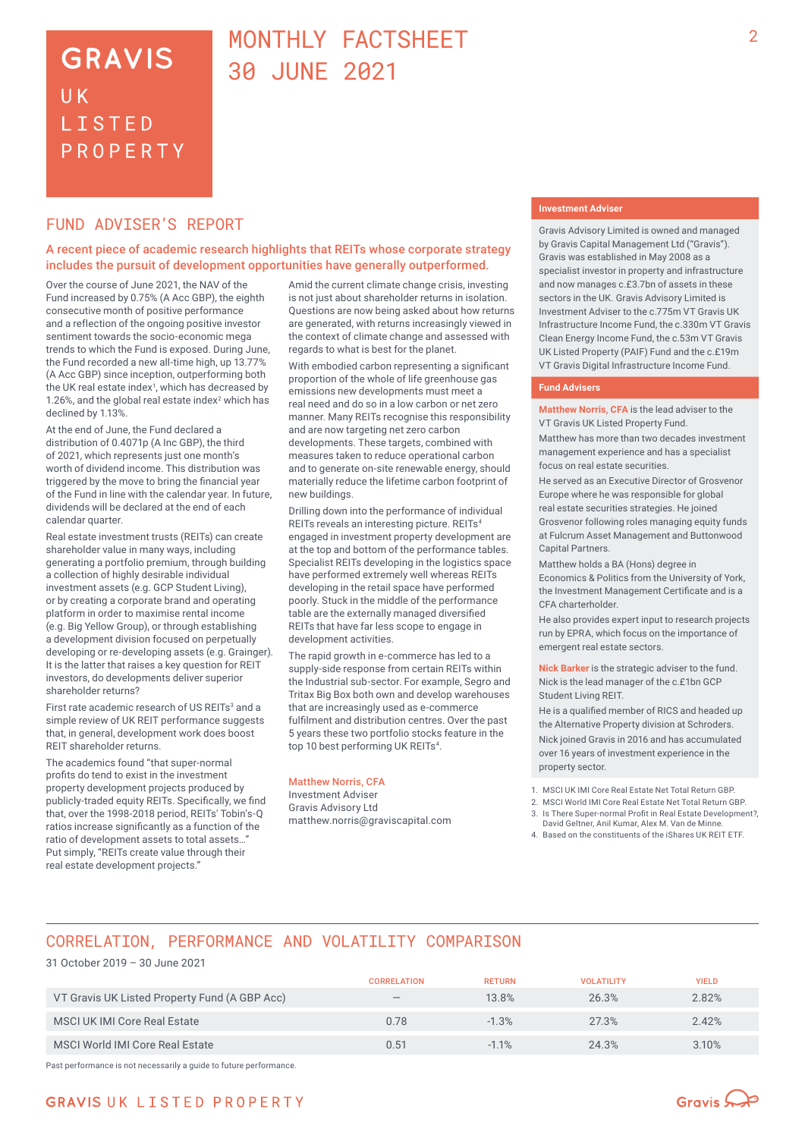## **GRAVIS** UK **LISTED** PROPERTY

## MONTHLY FACTSHEET 30 JUNE 2021

### FUND ADVISER'S REPORT

### A recent piece of academic research highlights that REITs whose corporate strategy includes the pursuit of development opportunities have generally outperformed.

Over the course of June 2021, the NAV of the Fund increased by 0.75% (A Acc GBP), the eighth consecutive month of positive performance and a reflection of the ongoing positive investor sentiment towards the socio-economic mega trends to which the Fund is exposed. During June, the Fund recorded a new all-time high, up 13.77% (A Acc GBP) since inception, outperforming both the UK real estate index<sup>1</sup>, which has decreased by 1.26%, and the global real estate index $2$  which has declined by 1.13%.

At the end of June, the Fund declared a distribution of 0.4071p (A Inc GBP), the third of 2021, which represents just one month's worth of dividend income. This distribution was triggered by the move to bring the financial year of the Fund in line with the calendar year. In future, dividends will be declared at the end of each calendar quarter.

Real estate investment trusts (REITs) can create shareholder value in many ways, including generating a portfolio premium, through building a collection of highly desirable individual investment assets (e.g. GCP Student Living), or by creating a corporate brand and operating platform in order to maximise rental income (e.g. Big Yellow Group), or through establishing a development division focused on perpetually developing or re-developing assets (e.g. Grainger). It is the latter that raises a key question for REIT investors, do developments deliver superior shareholder returns?

First rate academic research of US REITs<sup>3</sup> and a simple review of UK REIT performance suggests that, in general, development work does boost REIT shareholder returns.

The academics found "that super-normal profits do tend to exist in the investment property development projects produced by publicly‑traded equity REITs. Specifically, we find that, over the 1998-2018 period, REITs' Tobin's-Q ratios increase significantly as a function of the ratio of development assets to total assets…" Put simply, "REITs create value through their real estate development projects."

Amid the current climate change crisis, investing is not just about shareholder returns in isolation. Questions are now being asked about how returns are generated, with returns increasingly viewed in the context of climate change and assessed with regards to what is best for the planet.

With embodied carbon representing a significant proportion of the whole of life greenhouse gas emissions new developments must meet a real need and do so in a low carbon or net zero manner. Many REITs recognise this responsibility and are now targeting net zero carbon developments. These targets, combined with measures taken to reduce operational carbon and to generate on-site renewable energy, should materially reduce the lifetime carbon footprint of new buildings.

Drilling down into the performance of individual REITs reveals an interesting picture. REITs<sup>4</sup> engaged in investment property development are at the top and bottom of the performance tables. Specialist REITs developing in the logistics space have performed extremely well whereas REITs developing in the retail space have performed poorly. Stuck in the middle of the performance table are the externally managed diversified REITs that have far less scope to engage in development activities.

The rapid growth in e-commerce has led to a supply-side response from certain REITs within the Industrial sub-sector. For example, Segro and Tritax Big Box both own and develop warehouses that are increasingly used as e-commerce fulfilment and distribution centres. Over the past 5 years these two portfolio stocks feature in the top 10 best performing UK REITs<sup>4</sup>.

#### Matthew Norris, CFA

Investment Adviser Gravis Advisory Ltd matthew.norris@graviscapital.com

#### **Investment Adviser**

Gravis Advisory Limited is owned and managed by Gravis Capital Management Ltd ("Gravis"). Gravis was established in May 2008 as a specialist investor in property and infrastructure and now manages c.£3.7bn of assets in these sectors in the UK. Gravis Advisory Limited is Investment Adviser to the c.775m VT Gravis UK Infrastructure Income Fund, the c.330m VT Gravis Clean Energy Income Fund, the c.53m VT Gravis UK Listed Property (PAIF) Fund and the c.£19m VT Gravis Digital Infrastructure Income Fund.

#### **Fund Advisers**

**Matthew Norris, CFA** is the lead adviser to the VT Gravis UK Listed Property Fund.

Matthew has more than two decades investment management experience and has a specialist focus on real estate securities.

He served as an Executive Director of Grosvenor Europe where he was responsible for global real estate securities strategies. He joined Grosvenor following roles managing equity funds at Fulcrum Asset Management and Buttonwood Capital Partners.

Matthew holds a BA (Hons) degree in Economics & Politics from the University of York, the Investment Management Certificate and is a CFA charterholder.

He also provides expert input to research projects run by EPRA, which focus on the importance of emergent real estate sectors.

**Nick Barker** is the strategic adviser to the fund. Nick is the lead manager of the c.£1bn GCP Student Living REIT.

He is a qualified member of RICS and headed up the Alternative Property division at Schroders. Nick joined Gravis in 2016 and has accumulated over 16 years of investment experience in the property sector.

- 1. MSCI UK IMI Core Real Estate Net Total Return GBP.
- 2. MSCI World IMI Core Real Estate Net Total Return GBP.
- 3. Is There Super-normal Profit in Real Estate Development?, David Geltner, Anil Kumar, Alex M. Van de Minne.
- 4. Based on the constituents of the iShares UK REIT ETF.

## CORRELATION, PERFORMANCE AND VOLATILITY COMPARISON

#### 31 October 2019 – 30 June 2021

|                                               | <b>CORRELATION</b>       | <b>RETURN</b> | <b>VOLATILITY</b> | <b>YIELD</b> |
|-----------------------------------------------|--------------------------|---------------|-------------------|--------------|
| VT Gravis UK Listed Property Fund (A GBP Acc) | $\overline{\phantom{a}}$ | 13.8%         | 26.3%             | 2.82%        |
| <b>MSCI UK IMI Core Real Estate</b>           | 0.78                     | $-1.3%$       | 27.3%             | 2.42%        |
| MSCI World IMI Core Real Estate               | 0.51                     | $-1.1%$       | 24.3%             | 3.10%        |

Past performance is not necessarily a guide to future performance.